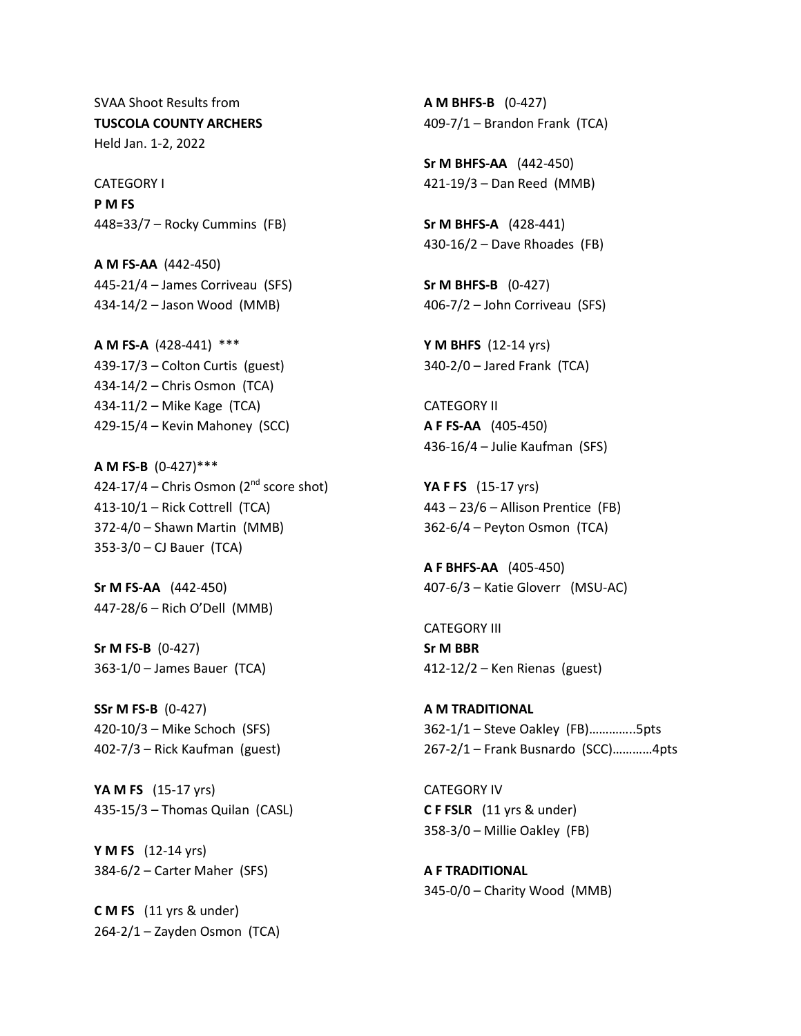SVAA Shoot Results from **TUSCOLA COUNTY ARCHERS** Held Jan. 1-2, 2022

CATEGORY I **P M FS** 448=33/7 – Rocky Cummins (FB)

**A M FS-AA** (442-450) 445-21/4 – James Corriveau (SFS) 434-14/2 – Jason Wood (MMB)

**A M FS-A** (428-441) \*\*\* 439-17/3 – Colton Curtis (guest) 434-14/2 – Chris Osmon (TCA) 434-11/2 – Mike Kage (TCA) 429-15/4 – Kevin Mahoney (SCC)

**A M FS-B** (0-427)\*\*\* 424-17/4 – Chris Osmon ( $2<sup>nd</sup>$  score shot) 413-10/1 – Rick Cottrell (TCA) 372-4/0 – Shawn Martin (MMB) 353-3/0 – CJ Bauer (TCA)

**Sr M FS-AA** (442-450) 447-28/6 – Rich O'Dell (MMB)

**Sr M FS-B** (0-427) 363-1/0 – James Bauer (TCA)

**SSr M FS-B** (0-427) 420-10/3 – Mike Schoch (SFS) 402-7/3 – Rick Kaufman (guest)

**YA M FS** (15-17 yrs) 435-15/3 – Thomas Quilan (CASL)

**Y M FS** (12-14 yrs) 384-6/2 – Carter Maher (SFS)

**C M FS** (11 yrs & under) 264-2/1 – Zayden Osmon (TCA)

**A M BHFS-B** (0-427) 409-7/1 – Brandon Frank (TCA)

**Sr M BHFS-AA** (442-450) 421-19/3 – Dan Reed (MMB)

**Sr M BHFS-A** (428-441) 430-16/2 – Dave Rhoades (FB)

**Sr M BHFS-B** (0-427) 406-7/2 – John Corriveau (SFS)

**Y M BHFS** (12-14 yrs) 340-2/0 – Jared Frank (TCA)

CATEGORY II **A F FS-AA** (405-450) 436-16/4 – Julie Kaufman (SFS)

**YA F FS** (15-17 yrs) 443 – 23/6 – Allison Prentice (FB) 362-6/4 – Peyton Osmon (TCA)

**A F BHFS-AA** (405-450) 407-6/3 – Katie Gloverr (MSU-AC)

CATEGORY III **Sr M BBR** 412-12/2 – Ken Rienas (guest)

**A M TRADITIONAL** 362-1/1 – Steve Oakley (FB)…………..5pts 267-2/1 – Frank Busnardo (SCC)…………4pts

CATEGORY IV **C F FSLR** (11 yrs & under) 358-3/0 – Millie Oakley (FB)

**A F TRADITIONAL** 345-0/0 – Charity Wood (MMB)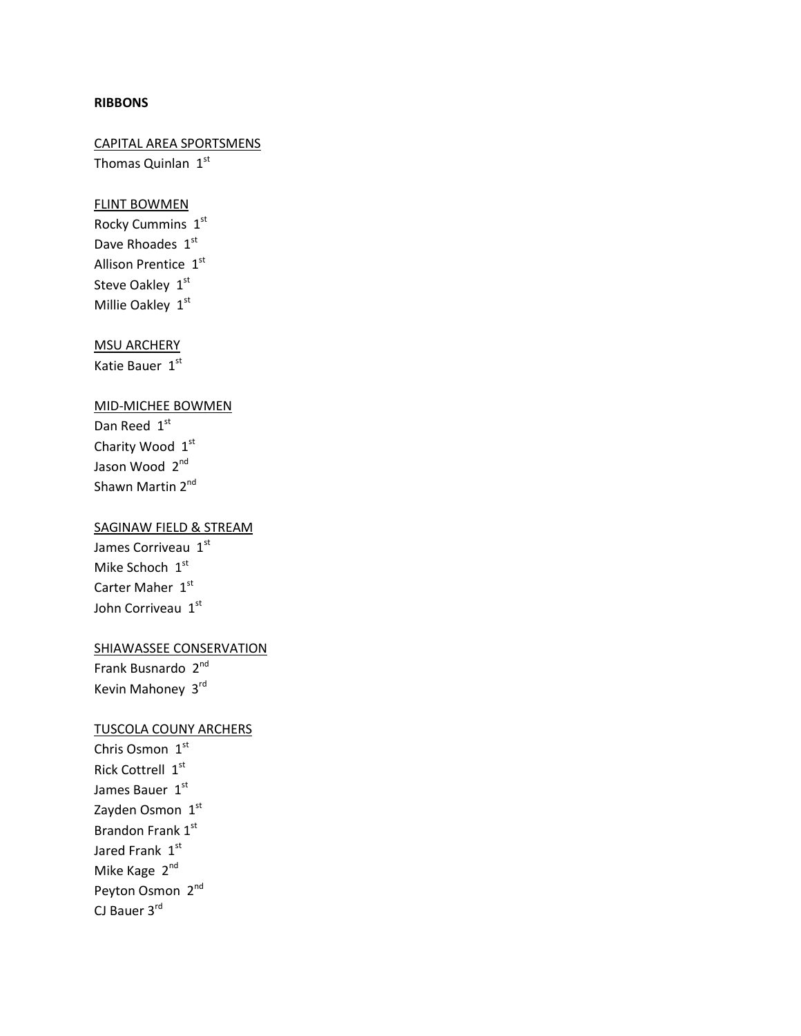#### **RIBBONS**

# CAPITAL AREA SPORTSMENS Thomas Quinlan 1st

# FLINT BOWMEN

Rocky Cummins  $1<sup>st</sup>$ Dave Rhoades 1st Allison Prentice 1st Steve Oakley 1st Millie Oakley 1st

### MSU ARCHERY

Katie Bauer 1st

### MID-MICHEE BOWMEN

Dan Reed 1st Charity Wood 1st Jason Wood 2nd Shawn Martin 2<sup>nd</sup>

# SAGINAW FIELD & STREAM

James Corriveau 1st Mike Schoch 1st Carter Maher 1st John Corriveau 1st

### SHIAWASSEE CONSERVATION

Frank Busnardo 2<sup>nd</sup> Kevin Mahoney 3rd

### TUSCOLA COUNY ARCHERS

Chris Osmon 1st Rick Cottrell 1st James Bauer 1st Zayden Osmon 1st Brandon Frank 1st Jared Frank  $1<sup>st</sup>$ Mike Kage 2<sup>nd</sup> Peyton Osmon 2nd CJ Bauer 3rd